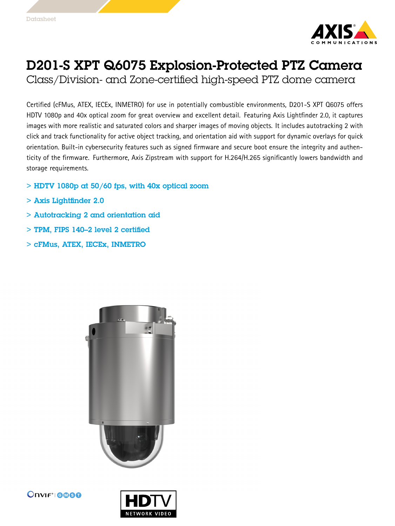

## D201-S XPT Q6075 Explosion-Protected PTZ Camera

Class/Division- and Zone-certified high-speed PTZ dome camera

Certified (cFMus, ATEX, IECEx, INMETRO) for use in potentially combustible environments, D201-S XPT Q6075 offers HDTV 1080p and 40x optical zoom for great overview and excellent detail. Featuring Axis Lightfinder 2.0, it captures images with more realistic and saturated colors and sharper images of moving objects. It includes autotracking 2 with click and track functionality for active object tracking, and orientation aid with support for dynamic overlays for quick orientation. Built-in cybersecurity features such as signed firmware and secure boot ensure the integrity and authenticity of the firmware. Furthermore, Axis Zipstream with support for H.264/H.265 significantly lowers bandwidth and storage requirements.

- $>$  HDTV 1080p at 50/60 fps, with 40x optical zoom
- > Axis Lightfinder 2.0
- > Autotracking 2 and orientation aid
- > TPM, FIPS 140–2 level 2 certified
- > cFMus, ATEX, IECEx, INMETRO





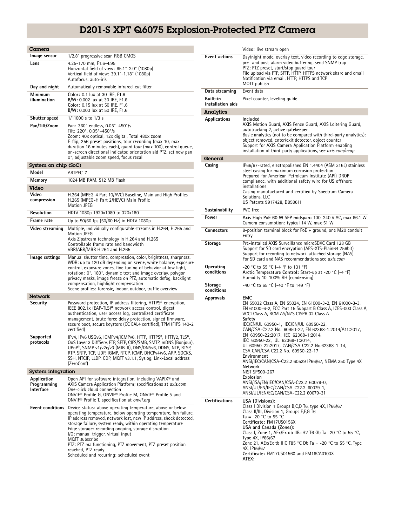## D201-S XPT Q6075 Explosion-Protected PTZ Camera

| Camera                                  |                                                                                                                                                                                                                                                                                                                                                                                                                                                                                                                   |
|-----------------------------------------|-------------------------------------------------------------------------------------------------------------------------------------------------------------------------------------------------------------------------------------------------------------------------------------------------------------------------------------------------------------------------------------------------------------------------------------------------------------------------------------------------------------------|
| Image sensor                            | 1/2.8" progressive scan RGB CMOS                                                                                                                                                                                                                                                                                                                                                                                                                                                                                  |
| Lens                                    | 4.25-170 mm, F1.6-4.95<br>Horizontal field of view: 65.1°-2.0° (1080p)<br>Vertical field of view: 39.1°-1.18° (1080p)<br>Autofocus, auto-iris                                                                                                                                                                                                                                                                                                                                                                     |
| Day and night                           | Automatically removable infrared-cut filter                                                                                                                                                                                                                                                                                                                                                                                                                                                                       |
| Minimum<br>illumination                 | Color: 0.1 lux at 30 IRE, F1.6<br>B/W: 0.002 lux at 30 IRE, F1.6<br>Color: 0.15 lux at 50 IRE, F1.6<br>B/W: 0.003 lux at 50 IRE, F1.6                                                                                                                                                                                                                                                                                                                                                                             |
| Shutter speed                           | 1/11000 s to 1/3 s                                                                                                                                                                                                                                                                                                                                                                                                                                                                                                |
| Pan/Tilt/Zoom                           | Pan: 360° endless, 0.05°-450°/s<br>Tilt: 220°, 0.05°-450°/s<br>Zoom: 40x optical, 12x digital, Total 480x zoom<br>E-flip, 256 preset positions, tour recording (max 10, max<br>duration 16 minutes each), quard tour (max 100), control queue,<br>on-screen directional indicator, orientation aid PTZ, set new pan<br>0°, adjustable zoom speed, focus recall                                                                                                                                                    |
| System on chip (SoC)                    |                                                                                                                                                                                                                                                                                                                                                                                                                                                                                                                   |
| Model                                   | ARTPEC-7                                                                                                                                                                                                                                                                                                                                                                                                                                                                                                          |
| Memory                                  | 1024 MB RAM, 512 MB Flash                                                                                                                                                                                                                                                                                                                                                                                                                                                                                         |
| Video                                   |                                                                                                                                                                                                                                                                                                                                                                                                                                                                                                                   |
| Video<br>compression                    | H.264 (MPEG-4 Part 10/AVC) Baseline, Main and High Profiles<br>H.265 (MPEG-H Part 2/HEVC) Main Profile<br>Motion JPEG                                                                                                                                                                                                                                                                                                                                                                                             |
| Resolution                              | HDTV 1080p 1920x1080 to 320x180                                                                                                                                                                                                                                                                                                                                                                                                                                                                                   |
| Frame rate                              | Up to 50/60 fps (50/60 Hz) in HDTV 1080p                                                                                                                                                                                                                                                                                                                                                                                                                                                                          |
| Video streaming                         | Multiple, individually configurable streams in H.264, H.265 and<br><b>Motion JPEG</b><br>Axis Zipstream technology in H.264 and H.265<br>Controllable frame rate and bandwidth<br>VBR/ABR/MBR H.264 and H.265                                                                                                                                                                                                                                                                                                     |
| lmage settings                          | Manual shutter time, compression, color, brightness, sharpness,<br>WDR: up to 120 dB depending on scene, white balance, exposure<br>control, exposure zones, fine tuning of behavior at low light,<br>rotation: 0°, 180°, dynamic text and image overlay, polygon<br>privacy masks, image freeze on PTZ, automatic defog, backlight<br>compensation, highlight compensation<br>Scene profiles: forensic, indoor, outdoor, traffic overview                                                                        |
| <b>Network</b>                          |                                                                                                                                                                                                                                                                                                                                                                                                                                                                                                                   |
| Security                                | Password protection, IP address filtering, HTTPS <sup>a</sup> encryption,<br>IEEE 802.1x (EAP-TLS) <sup>a</sup> network access control, digest<br>authentication, user access log, centralized certificate<br>management, brute force delay protection, signed firmware,<br>secure boot, secure keystore (CC EAL4 certified), TPM (FIPS 140-2<br>certified)                                                                                                                                                       |
| Supported<br>protocols                  | IPv4, IPv6 USGv6, ICMPv4/ICMPv6, HTTP, HTTPS <sup>a</sup> , HTTP/2, TLS <sup>a</sup> ,<br>QoS Layer 3 DiffServ, FTP, SFTP, CIFS/SMB, SMTP, mDNS (Bonjour),<br>UPnP®, SNMP v1/v2c/v3 (MIB-II), DNS/DNSv6, DDNS, NTP, RTSP,<br>RTP, SRTP, TCP, UDP, IGMP, RTCP, ICMP, DHCPv4/v6, ARP, SOCKS,<br>SSH, NTCIP, LLDP, CDP, MQTT v3.1.1, Syslog, Link-Local address<br>(ZeroConf)                                                                                                                                        |
| System integration                      |                                                                                                                                                                                                                                                                                                                                                                                                                                                                                                                   |
| Application<br>Programming<br>Interface | Open API for software integration, including VAPIX <sup>®</sup> and<br>AXIS Camera Application Platform; specifications at <i>axis.com</i><br>One-click cloud connection<br>ONVIF® Profile G, ONVIF® Profile M, ONVIF® Profile S and<br>ONVIF <sup>®</sup> Profile T, specification at onvif.org                                                                                                                                                                                                                  |
| <b>Event conditions</b>                 | Device status: above operating temperature, above or below<br>operating temperature, below operating temperature, fan failure,<br>IP address removed, network lost, new IP address, shock detected,<br>storage failure, system ready, within operating temperature<br>Edge storage: recording ongoing, storage disruption<br>I/O: manual trigger, virtual input<br>MQTT subscribe<br>PTZ: PTZ malfunctioning, PTZ movement, PTZ preset position<br>reached, PTZ ready<br>Scheduled and recurring: scheduled event |

|                               | Video: live stream open                                                                                                                                                                                                                                                                                                                                                                                                                                                                                                                                                                                                                                                                                   |
|-------------------------------|-----------------------------------------------------------------------------------------------------------------------------------------------------------------------------------------------------------------------------------------------------------------------------------------------------------------------------------------------------------------------------------------------------------------------------------------------------------------------------------------------------------------------------------------------------------------------------------------------------------------------------------------------------------------------------------------------------------|
| <b>Event actions</b>          | Day/night mode, overlay text, video recording to edge storage,<br>pre- and post-alarm video buffering, send SNMP trap<br>PTZ: PTZ preset, start/stop quard tour<br>File upload via FTP, SFTP, HTTP, HTTPS network share and email<br>Notification via email, HTTP, HTTPS and TCP<br>MQTT publish                                                                                                                                                                                                                                                                                                                                                                                                          |
| Data streaming                | Event data                                                                                                                                                                                                                                                                                                                                                                                                                                                                                                                                                                                                                                                                                                |
| Built-in<br>installation aids | Pixel counter, leveling guide                                                                                                                                                                                                                                                                                                                                                                                                                                                                                                                                                                                                                                                                             |
| Analytics                     |                                                                                                                                                                                                                                                                                                                                                                                                                                                                                                                                                                                                                                                                                                           |
| Applications                  | Included<br>AXIS Motion Guard, AXIS Fence Guard, AXIS Loitering Guard,<br>autotracking 2, active gatekeeper<br>Basic analytics (not to be compared with third-party analytics):<br>object removed, enter/exit detector, object counter<br>Support for AXIS Camera Application Platform enabling<br>installation of third-party applications, see <i>axis.com/acap</i>                                                                                                                                                                                                                                                                                                                                     |
| General                       |                                                                                                                                                                                                                                                                                                                                                                                                                                                                                                                                                                                                                                                                                                           |
| Casing                        | IP66/67-rated, electropolished EN 1.4404 (ASM 316L) stainless<br>steel casing for maximum corrosion protection<br>Prepared for American Petroleum Institute (API) DROP<br>compliance, with additional safety wire for US offshore<br>installations<br>Casing manufactured and certified by Spectrum Camera<br>Solutions, LLC<br>US Patents 9917428, D858611                                                                                                                                                                                                                                                                                                                                               |
| Sustainability                | PVC free                                                                                                                                                                                                                                                                                                                                                                                                                                                                                                                                                                                                                                                                                                  |
| Power                         | Axis High PoE 60 W SFP midspan: 100-240 V AC, max 66.1 W<br>Camera consumption: typical 14 W, max 51 W                                                                                                                                                                                                                                                                                                                                                                                                                                                                                                                                                                                                    |
| <b>Connectors</b>             | 8-position terminal block for PoE + ground, one M20 conduit<br>entry                                                                                                                                                                                                                                                                                                                                                                                                                                                                                                                                                                                                                                      |
| Storage                       | Pre-installed AXIS Surveillance microSDXC Card 128 GB<br>Support for SD card encryption (AES-XTS-Plain64 256bit)<br>Support for recording to network-attached storage (NAS)<br>For SD card and NAS recommendations see <i>axis.com</i>                                                                                                                                                                                                                                                                                                                                                                                                                                                                    |
| Operating<br>conditions       | -20 °C to 55 °C (-4 °F to 131 °F)<br>Arctic Temperature Control: Start-up at -20 °C (-4 °F)<br>Humidity 10-100% RH (condensing)                                                                                                                                                                                                                                                                                                                                                                                                                                                                                                                                                                           |
| <b>Storage</b><br>conditions  | -40 °C to 65 °C (-40 °F to 149 °F)                                                                                                                                                                                                                                                                                                                                                                                                                                                                                                                                                                                                                                                                        |
| <b>Approvals</b>              | EMC<br>EN 55032 Class A, EN 55024, EN 61000-3-2, EN 61000-3-3,<br>EN 61000-6-2, FCC Part 15 Subpart B Class A, ICES-003 Class A,<br>VCCI Class A, RCM AS/NZS CISPR 32 Class A<br>Safety<br>IEC/EN/UL 60950-1, IEC/EN/UL 60950-22,<br>CAN/CSA-C22.2 No. 60950-22, EN 62368-1:2014/A11:2017,<br>EN 60950-22:2017, IEC 62368-1:2014,<br>IEC 60950-22, UL 62368-1:2014,<br>UL 60950-22:2017, CAN/CSA C22.2 No.62368-1-14,<br>CSA CAN/CSA C22.2 No. 60950-22-17<br>Environment<br>ANSI/IEC/CAN/CSA-C22.2 60529 IP66/67, NEMA 250 Type 4X<br>Network<br>NIST SP500-267<br>Explosion<br>ANSI/ISA/EN/IEC/CAN/CSA-C22.2 60079-0,<br>ANSI/UL/EN/IEC/CAN/CSA-C22.2 60079-1,<br>ANSI/UL/IEN/EC/CAN/CSA-C22.2 60079-31 |
| <b>Certifications</b>         | USA (Divisions):<br>Class I Division 1 Groups B,C,D T6, type 4X, IP66/67<br>Class II/III, Division 1, Groups E,F,G T6<br>Ta = -20 °C to 55 °C<br>Certificate: FM17US0156X<br>USA and Canada (Zones):<br>Class I, Zone 1, AEx/Ex db IIB+H2 T6 Gb Ta -20 °C to 55 °C,<br>Type 4X, IP66/67<br>Zone 21, AEx/Ex tb IIIC T85 °C Db Ta = -20 °C to 55 °C, Type<br>4X, IP66/67<br>Certificate: FM17US0156X and FM18CA0103X<br>ATEX:                                                                                                                                                                                                                                                                               |